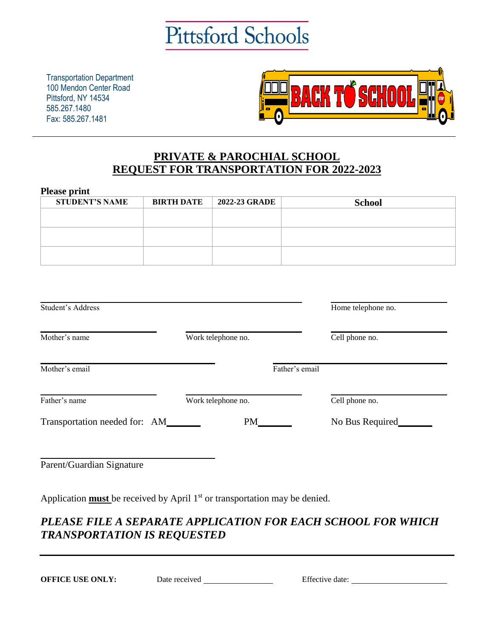

Transportation Department 100 Mendon Center Road Pittsford, NY 14534 585.267.1480 Fax: 585.267.1481



## **PRIVATE & PAROCHIAL SCHOOL REQUEST FOR TRANSPORTATION FOR 2022-2023**

| <b>Please print</b>                                                                     |                   |                    |                |                    |  |
|-----------------------------------------------------------------------------------------|-------------------|--------------------|----------------|--------------------|--|
| <b>STUDENT'S NAME</b>                                                                   | <b>BIRTH DATE</b> | 2022-23 GRADE      |                | <b>School</b>      |  |
|                                                                                         |                   |                    |                |                    |  |
|                                                                                         |                   |                    |                |                    |  |
|                                                                                         |                   |                    |                |                    |  |
|                                                                                         |                   |                    |                |                    |  |
|                                                                                         |                   |                    |                |                    |  |
|                                                                                         |                   |                    |                |                    |  |
|                                                                                         |                   |                    |                |                    |  |
| Student's Address                                                                       |                   |                    |                | Home telephone no. |  |
|                                                                                         |                   |                    |                |                    |  |
| Mother's name                                                                           |                   | Work telephone no. |                | Cell phone no.     |  |
|                                                                                         |                   |                    |                |                    |  |
| Mother's email                                                                          |                   |                    | Father's email |                    |  |
|                                                                                         |                   |                    |                |                    |  |
|                                                                                         |                   |                    |                |                    |  |
| Father's name                                                                           |                   | Work telephone no. |                | Cell phone no.     |  |
| Transportation needed for: AM_                                                          |                   | PM                 |                | No Bus Required    |  |
|                                                                                         |                   |                    |                |                    |  |
|                                                                                         |                   |                    |                |                    |  |
| Parent/Guardian Signature                                                               |                   |                    |                |                    |  |
|                                                                                         |                   |                    |                |                    |  |
|                                                                                         |                   |                    |                |                    |  |
| Application $\frac{must}{}$ be received by April $1st$ or transportation may be denied. |                   |                    |                |                    |  |
|                                                                                         |                   |                    |                |                    |  |

## *PLEASE FILE A SEPARATE APPLICATION FOR EACH SCHOOL FOR WHICH TRANSPORTATION IS REQUESTED*

**OFFICE USE ONLY:** Date received **Effective date:**